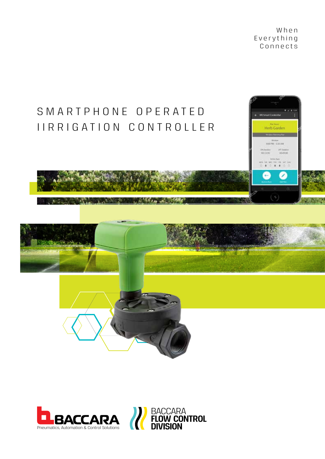W h e n E v e r y t h i n g Connects







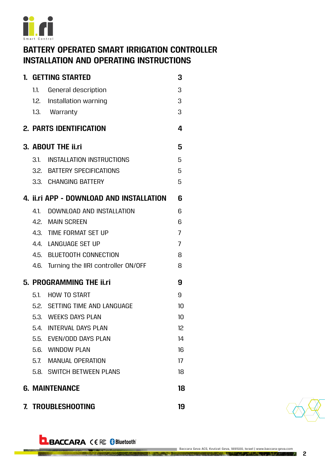

# **BATTERY OPERATED SMART IRRIGATION CONTROLLER INSTALLATION AND OPERATING INSTRUCTIONS**

| 1. GETTING STARTED                       |                                         |                |  |  |
|------------------------------------------|-----------------------------------------|----------------|--|--|
|                                          | 1.1. General description                | 3              |  |  |
|                                          | 1.2. Installation warning               | 3              |  |  |
|                                          | 1.3. Warranty                           | 3              |  |  |
|                                          | <b>2. PARTS IDENTIFICATION</b>          | 4              |  |  |
| 3. ABOUT THE ii.ri                       |                                         |                |  |  |
|                                          | 3.1. INSTALLATION INSTRUCTIONS          | 5              |  |  |
|                                          | 3.2. BATTERY SPECIFICATIONS             | 5              |  |  |
|                                          | 3.3. CHANGING BATTERY                   | 5              |  |  |
| 4. II.ri APP - DOWNLOAD AND INSTALLATION |                                         |                |  |  |
|                                          | 4.1. DOWNLOAD AND INSTALLATION          | 6              |  |  |
|                                          | 4.2. MAIN SCREEN                        | 6              |  |  |
|                                          | 4.3. TIME FORMAT SET UP                 | $\overline{7}$ |  |  |
|                                          | 4.4. LANGUAGE SET UP                    | $\overline{7}$ |  |  |
|                                          | 4.5. BLUETOOTH CONNECTION               | 8              |  |  |
|                                          | 4.6. Turning the IIRI controller ON/OFF | 8              |  |  |
| 5. PROGRAMMING THE <i>ii.ri</i>          | 9                                       |                |  |  |
|                                          | 5.1. HOW TO START                       | 9              |  |  |
|                                          | 5.2. SETTING TIME AND LANGUAGE          | 10             |  |  |
|                                          | 5.3. WEEKS DAYS PLAN                    | 10             |  |  |
|                                          | 5.4. INTERVAL DAYS PLAN                 | 12             |  |  |
|                                          | 5.5. EVEN/ODD DAYS PLAN                 | 14             |  |  |
|                                          | 5.6. WINDOW PLAN                        | 16             |  |  |
|                                          | 5.7. MANUAL OPERATION                   | 17             |  |  |
|                                          | 5.8. SWITCH BETWEEN PLANS               | 18             |  |  |
| <b>6. MAINTENANCE</b>                    |                                         |                |  |  |
| 7. TROUBLESHOOTING<br>19                 |                                         |                |  |  |



**2**

# **BACCARA** CEFC Bluetooth®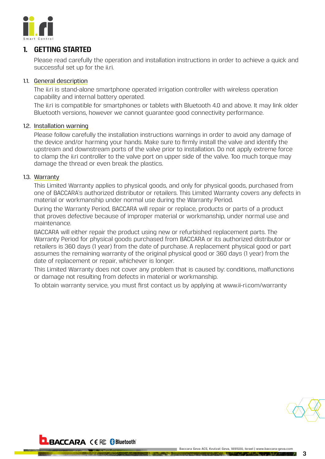<span id="page-2-0"></span>

#### **1. GETTING STARTED**

Please read carefully the operation and installation instructions in order to achieve a quick and successful set up for the ii.ri.

#### 1.1. General description

The ii.ri is stand-alone smartphone operated irrigation controller with wireless operation capability and internal battery operated.

The ii.ri is compatible for smartphones or tablets with Bluetooth 4.0 and above. It may link older Bluetooth versions, however we cannot guarantee good connectivity performance.

#### 1.2. Installation warning

Please follow carefully the installation instructions warnings in order to avoid any damage of the device and/or harming your hands. Make sure to firmly install the valve and identify the upstream and downstream ports of the valve prior to installation. Do not apply extreme force to clamp the ii.ri controller to the valve port on upper side of the valve. Too much torque may damage the thread or even break the plastics.

#### 1.3. Warranty

This Limited Warranty applies to physical goods, and only for physical goods, purchased from one of BACCARA's authorized distributor or retailers. This Limited Warranty covers any defects in material or workmanship under normal use during the Warranty Period.

During the Warranty Period, BACCARA will repair or replace, products or parts of a product that proves defective because of improper material or workmanship, under normal use and maintenance.

BACCARA will either repair the product using new or refurbished replacement parts. The Warranty Period for physical goods purchased from BACCARA or its authorized distributor or retailers is 360 days (1 year) from the date of purchase. A replacement physical good or part assumes the remaining warranty of the original physical good or 360 days (1 year) from the date of replacement or repair, whichever is longer.

This Limited Warranty does not cover any problem that is caused by: conditions, malfunctions or damage not resulting from defects in material or workmanship.

To obtain warranty service, you must first contact us by applying at www.ii-ri.com/warranty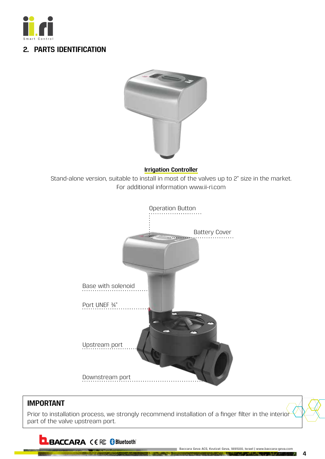<span id="page-3-0"></span>

### **2. PARTS IDENTIFICATION**



#### **Irrigation Controller**

Stand-alone version, suitable to install in most of the valves up to 2" size in the market. For additional information www.ii-ri.com



### **IMPORTANT**

Prior to installation process, we strongly recommend installation of a finger filter in the interior part of the valve upstream port.

**BACCARA** CEFC Bluetooth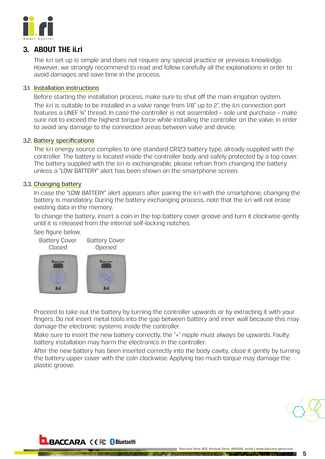<span id="page-4-0"></span>

### **3. ABOUT THE ii.ri**

The ii.ri set up is simple and does not require any special practice or previous knowledge. However, we strongly recommend to read and follow carefully all the explanations in order to avoid damages and save time in the process.

#### 3.1. Installation instructions

Before starting the installation process, make sure to shut off the main irrigation system. The ii.ri is suitable to be installed in a valve range from 1/8" up to 2", the ii.ri connection port features a UNEF ¾" thread. In case the controller is not assembled – sole unit purchase – make sure not to exceed the highest torque force while installing the controller on the valve, in order to avoid any damage to the connection areas between valve and device.

#### 3.2. Battery specifications

The ii.ri energy source complies to one standard CR123 battery type, already supplied with the controller. The battery is located inside the controller body and safely protected by a top cover. The battery supplied with the ii.ri is exchangeable, please refrain from changing the battery unless a "LOW BATTERY" alert has been shown on the smartphone screen.

#### 3.3. Changing battery

In case the "LOW BATTERY" alert appears after pairing the ii.ri with the smartphone, changing the battery is mandatory. During the battery exchanging process, note that the ii.ri will not erase existing data in the memory.

To change the battery, insert a coin in the top battery cover groove and turn it clockwise gently until it is released from the internal self-locking notches.

See figure below.



Proceed to take out the battery by turning the controller upwards or by extracting it with your fingers. Do not insert metal tools into the gap between battery and inner wall because this may damage the electronic systems inside the controller.

Make sure to insert the new battery correctly, the "+" nipple must always be upwards. Faulty battery installation may harm the electronics in the controller.

After the new battery has been inserted correctly into the body cavity, close it gently by turning the battery upper cover with the coin clockwise. Applying too much torque may damage the plastic groove.

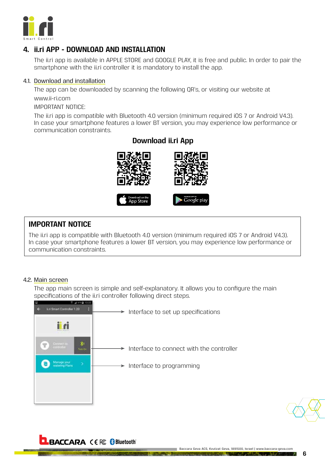<span id="page-5-0"></span>

### **4. ii.ri APP - DOWNLOAD AND INSTALLATION**

The ii.ri app is available in APPLE STORE and GOOGLE PLAY, it is free and public. In order to pair the smartphone with the ii.ri controller it is mandatory to install the app.

#### 4.1. Download and installation

The app can be downloaded by scanning the following QR's, or visiting our website at www.ii-ri.com

IMPORTANT NOTICE:

The ii.ri app is compatible with Bluetooth 4.0 version (minimum required iOS 7 or Android V4.3). In case your smartphone features a lower BT version, you may experience low performance or communication constraints.



### **IMPORTANT NOTICE**

The ii.ri app is compatible with Bluetooth 4.0 version (minimum required iOS 7 or Android V4.3). In case your smartphone features a lower BT version, you may experience low performance or communication constraints.

#### 4.2. Main screen

The app main screen is simple and self-explanatory. It allows you to configure the main specifications of the ii.ri controller following direct steps.



### **Download ii.ri App**

### **BACCARA** CE FC Bluetooth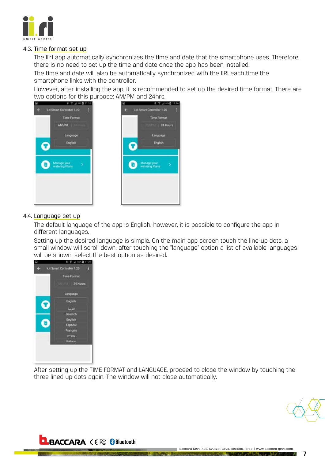<span id="page-6-0"></span>

#### 4.3. Time format set up

The ii.ri app automatically synchronizes the time and date that the smartphone uses. Therefore, there is no need to set up the time and date once the app has been installed.

The time and date will also be automatically synchronized with the IIRI each time the smartphone links with the controller.

However, after installing the app, it is recommended to set up the desired time format. There are two options for this purpose: AM/PM and 24hrs.

24 Hours



#### 4.4. Language set up

The default language of the app is English, however, it is possible to configure the app in different languages.

Setting up the desired language is simple. On the main app screen touch the line-up dots, a small window will scroll down, after touching the "language" option a list of available languages will be shown, select the best option as desired.



After setting up the TIME FORMAT and LANGUAGE, proceed to close the window by touching the three lined up dots again. The window will not close automatically.



**7**

### **BACCARA** CE FC BIluetooth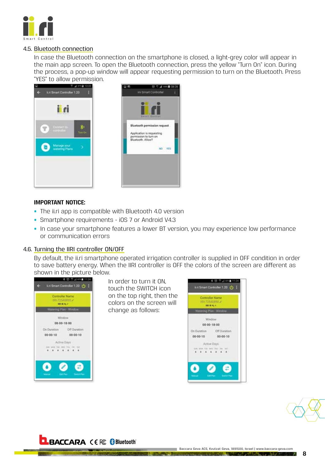<span id="page-7-0"></span>

#### 4.5. Bluetooth connection

In case the Bluetooth connection on the smartphone is closed, a light-grey color will appear in the main app screen. To open the Bluetooth connection, press the yellow "Turn On" icon. During the process, a pop-up window will appear requesting permission to turn on the Bluetooth. Press "YES" to allow permission.





#### **IMPORTANT NOTICE:**

- The ii.ri app is compatible with Bluetooth 4.0 version
- Smartphone requirements iOS 7 or Android V4.3
- In case your smartphone features a lower BT version, you may experience low performance or communication errors

#### 4.6. Turning the IIRI controller ON/OFF

By default, the ii.ri smartphone operated irrigation controller is supplied in OFF condition in order to save battery energy. When the IIRI controller is OFF the colors of the screen are different as shown in the picture below.



In order to turn it ON, touch the SWITCH icon on the top right, then the colors on the screen will change as follows:





### **BACCARA** CE FC Bluetooth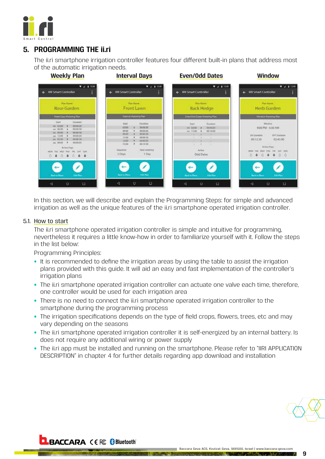<span id="page-8-0"></span>

### **5. PROGRAMMING THE ii.ri**

The ii.ri smartphone irrigation controller features four different built-in plans that address most of the automatic irrigation needs.



In this section, we will describe and explain the Programming Steps: for simple and advanced irrigation as well as the unique features of the ii.ri smartphone operated irrigation controller.

#### 5.1. How to start

The ii.ri smartphone operated irrigation controller is simple and intuitive for programming, nevertheless it requires a little know-how in order to familiarize yourself with it. Follow the steps in the list below:

Programming Principles:

- It is recommended to define the irrigation areas by using the table to assist the irrigation plans provided with this guide. It will aid an easy and fast implementation of the controller's irrigation plans
- The ii.ri smartphone operated irrigation controller can actuate one valve each time, therefore, one controller would be used for each irrigation area
- There is no need to connect the ii.ri smartphone operated irrigation controller to the smartphone during the programming process
- The irrigation specifications depends on the type of field crops, flowers, trees, etc and may vary depending on the seasons
- The ii.ri smartphone operated irrigation controller it is self-energized by an internal battery. Is does not require any additional wiring or power supply
- The ii.ri app must be installed and running on the smartphone. Please refer to "IIRI APPLICATION DESCRIPTION" in chapter 4 for further details regarding app download and installation

**BACCARA CE & Bluetooth**®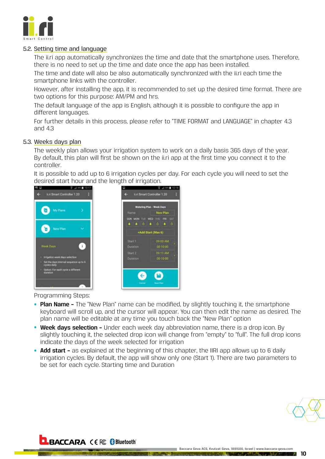<span id="page-9-0"></span>

#### 5.2. Setting time and language

The ii.ri app automatically synchronizes the time and date that the smartphone uses. Therefore, there is no need to set up the time and date once the app has been installed.

The time and date will also be also automatically synchronized with the ii.ri each time the smartphone links with the controller.

However, after installing the app, it is recommended to set up the desired time format. There are two options for this purpose: AM/PM and hrs.

The default language of the app is English, although it is possible to configure the app in different languages.

For further details in this process, please refer to "TIME FORMAT and LANGUAGE" in chapter 4.3 and 4.3

#### 5.3. Weeks days plan

The weekly plan allows your irrigation system to work on a daily basis 365 days of the year. By default, this plan will first be shown on the ii.ri app at the first time you connect it to the controller.

It is possible to add up to 6 irrigation cycles per day. For each cycle you will need to set the desired start hour and the length of irrigation.



**BACCARA** CE FC Bluetooth



Programming Steps:

- **Plan Name –** The "New Plan" name can be modified, by slightly touching it, the smartphone keyboard will scroll up, and the cursor will appear. You can then edit the name as desired. The plan name will be editable at any time you touch back the "New Plan" option
- **Week days selection –** Under each week day abbreviation name, there is a drop icon. By slightly touching it, the selected drop icon will change from "empty" to "full". The full drop icons indicate the days of the week selected for irrigation
- **Add start –** as explained at the beginning of this chapter, the IIRI app allows up to 6 daily irrigation cycles. By default, the app will show only one (Start 1). There are two parameters to be set for each cycle. Starting time and Duration

Baccara Geva ACS, Kvutzat Geva, 1891500, Israel | www.baccara-geva.com

**THE R. P. LEWIS CO., LANSING MICH.**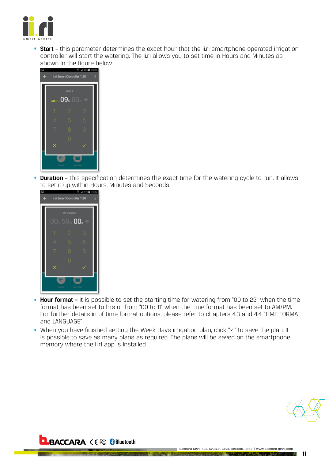

• **Start –** this parameter determines the exact hour that the ii.ri smartphone operated irrigation controller will start the watering. The ii.ri allows you to set time in Hours and Minutes as shown in the figure below



• **Duration –** this specification determines the exact time for the watering cycle to run. It allows to set it up within Hours, Minutes and Seconds



- **Hour format –** it is possible to set the starting time for watering from "00 to 23" when the time format has been set to hrs or from "00 to 11" when the time format has been set to AM/PM. For further details in of time format options, please refer to chapters 4.3 and 4.4 "TIME FORMAT and LANGUAGE"
- When you have finished setting the Week Days irrigation plan, click " $\checkmark$ " to save the plan. It is possible to save as many plans as required. The plans will be saved on the smartphone memory where the ii.ri app is installed

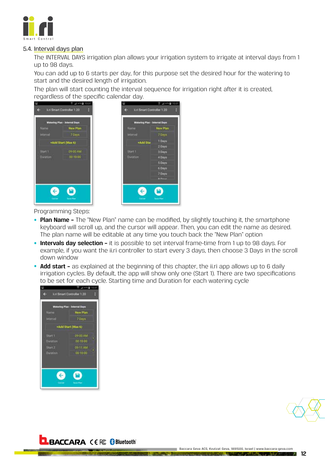<span id="page-11-0"></span>

#### 5.4. Interval days plan

The INTERVAL DAYS irrigation plan allows your irrigation system to irrigate at interval days from 1 up to 98 days.

You can add up to 6 starts per day, for this purpose set the desired hour for the watering to start and the desired length of irrigation.

The plan will start counting the interval sequence for irrigation right after it is created, regardless of the specific calendar day.



|           | Watering Plan - Interval Days |  |  |
|-----------|-------------------------------|--|--|
| Name:     | New Plan:                     |  |  |
| intervi   | 7 Days                        |  |  |
| +Add Star | 1 Days                        |  |  |
|           | $2$ Days                      |  |  |
| Start 1   | 3 Days                        |  |  |
| Duration  | 4 Days                        |  |  |
|           | 5 Days                        |  |  |
|           | 6 Days                        |  |  |
|           | 7 Days                        |  |  |
|           | <b>B. Finnise</b>             |  |  |

Programming Steps:

- **Plan Name –** The "New Plan" name can be modified, by slightly touching it, the smartphone keyboard will scroll up, and the cursor will appear. Then, you can edit the name as desired. The plan name will be editable at any time you touch back the "New Plan" option
- **Intervals day selection –** it is possible to set interval frame-time from 1 up to 98 days. For example, if you want the ii.ri controller to start every 3 days, then choose 3 Days in the scroll down window
- **Add start -** as explained at the beginning of this chapter, the ii.ri app allows up to 6 daily irrigation cycles. By default, the app will show only one (Start 1). There are two specifications to be set for each cycle. Starting time and Duration for each watering cycle





### **BACCARA** CE FC Bluetooth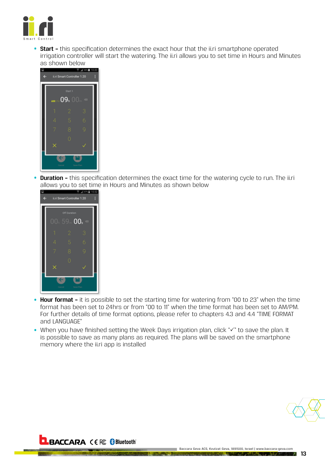

• **Start –** this specification determines the exact hour that the ii.ri smartphone operated irrigation controller will start the watering. The ii.ri allows you to set time in Hours and Minutes as shown below



• **Duration –** this specification determines the exact time for the watering cycle to run. The ii.ri allows you to set time in Hours and Minutes as shown below



- **Hour format** it is possible to set the starting time for watering from "00 to 23" when the time format has been set to 24hrs or from "00 to 11" when the time format has been set to AM/PM. For further details of time format options, please refer to chapters 4.3 and 4.4 "TIME FORMAT and LANGUAGE"
- When you have finished setting the Week Days irrigation plan, click " $\checkmark$ " to save the plan. It is possible to save as many plans as required. The plans will be saved on the smartphone memory where the ii.ri app is installed

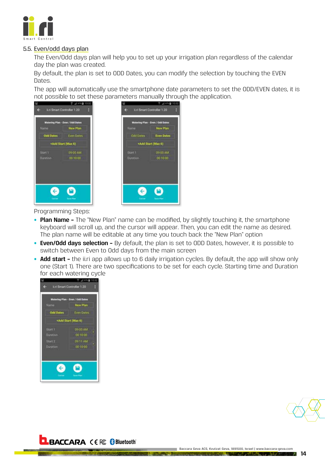<span id="page-13-0"></span>

#### 5.5. Even/odd days plan

The Even/Odd days plan will help you to set up your irrigation plan regardless of the calendar day the plan was created.

By default, the plan is set to ODD Dates, you can modify the selection by touching the EVEN Dates.

The app will automatically use the smartphone date parameters to set the ODD/EVEN dates, it is not possible to set these parameters manually through the application.



Programming Steps:

- **Plan Name –** The "New Plan" name can be modified, by slightly touching it, the smartphone keyboard will scroll up, and the cursor will appear. Then, you can edit the name as desired. The plan name will be editable at any time you touch back the "New Plan" option
- **Even/Odd days selection** By default, the plan is set to ODD Dates, however, it is possible to switch between Even to Odd days from the main screen
- **Add start -** the ii.ri app allows up to 6 daily irrigation cycles. By default, the app will show only one (Start 1). There are two specifications to be set for each cycle. Starting time and Duration for each watering cycle





### **BACCARA CE & Bluetooth**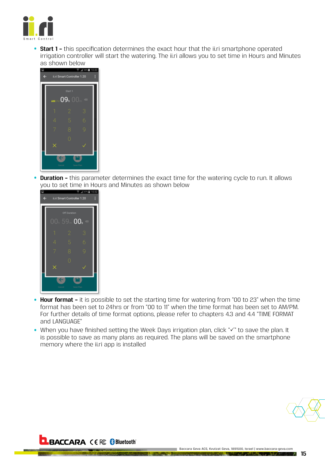

• **Start 1 –** this specification determines the exact hour that the ii.ri smartphone operated irrigation controller will start the watering. The ii.ri allows you to set time in Hours and Minutes as shown below



• **Duration –** this parameter determines the exact time for the watering cycle to run. It allows you to set time in Hours and Minutes as shown below



- **Hour format –** it is possible to set the starting time for watering from "00 to 23" when the time format has been set to 24hrs or from "00 to 11" when the time format has been set to AM/PM. For further details of time format options, please refer to chapters 4.3 and 4.4 "TIME FORMAT and LANGUAGE"
- When you have finished setting the Week Days irrigation plan, click " $\checkmark$ " to save the plan. It is possible to save as many plans as required. The plans will be saved on the smartphone memory where the ii.ri app is installed

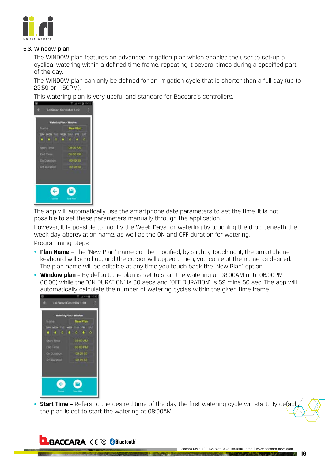<span id="page-15-0"></span>

#### 5.6. Window plan

The WINDOW plan features an advanced irrigation plan which enables the user to set-up a cyclical watering within a defined time frame, repeating it several times during a specified part of the day.

The WINDOW plan can only be defined for an irrigation cycle that is shorter than a full day (up to 23:59 or 11:59PM).

This watering plan is very useful and standard for Baccara's controllers.



The app will automatically use the smartphone date parameters to set the time. It is not possible to set these parameters manually through the application.

However, it is possible to modify the Week Days for watering by touching the drop beneath the week day abbreviation name, as well as the ON and OFF duration for watering.

Programming Steps:

- **Plan Name -** The "New Plan" name can be modified, by slightly touching it, the smartphone keyboard will scroll up, and the cursor will appear. Then, you can edit the name as desired. The plan name will be editable at any time you touch back the "New Plan" option
- **Window plan –** By default, the plan is set to start the watering at 08:00AM until 06:00PM (18:00) while the "ON DURATION" is 30 secs and "OFF DURATION" is 59 mins 50 sec. The app will automatically calculate the number of watering cycles within the given time frame



• **Start Time -** Refers to the desired time of the day the first watering cycle will start. By default the plan is set to start the watering at 08:00AM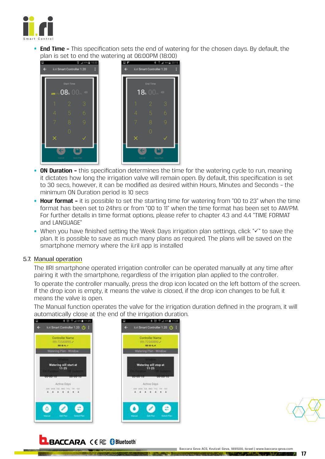<span id="page-16-0"></span>

• **End Time –** This specification sets the end of watering for the chosen days. By default, the plan is set to end the watering at 06:00PM (18:00)



- **ON Duration –** this specification determines the time for the watering cycle to run, meaning it dictates how long the irrigation valve will remain open. By default, this specification is set to 30 secs, however, it can be modified as desired within Hours, Minutes and Seconds – the minimum ON Duration period is 10 secs
- **Hour format –** it is possible to set the starting time for watering from "00 to 23" when the time format has been set to 24hrs or from "00 to 11" when the time format has been set to AM/PM. For further details in time format options, please refer to chapter 4.3 and 4.4 "TIME FORMAT and LANGUAGE"
- When you have finished setting the Week Days irrigation plan settings, click " $\checkmark$ " to save the plan. It is possible to save as much many plans as required. The plans will be saved on the smartphone memory where the ii.riI app is installed

#### 5.7. Manual operation

The IIRI smartphone operated irrigation controller can be operated manually at any time after pairing it with the smartphone, regardless of the irrigation plan applied to the controller.

To operate the controller manually, press the drop icon located on the left bottom of the screen. If the drop icon is empty, it means the valve is closed, if the drop icon changes to be full, it means the valve is open.

The Manual function operates the valve for the irrigation duration defined in the program, it will automatically close at the end of the irrigation duration.





**17**

## **BACCARA CE FC & Bluetooth**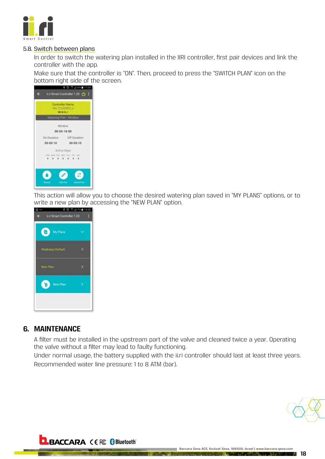<span id="page-17-0"></span>

#### 5.8. Switch between plans

In order to switch the watering plan installed in the IIRI controller, first pair devices and link the controller with the app.

Make sure that the controller is "ON". Then, proceed to press the "SWITCH PLAN" icon on the bottom right side of the screen.



This action will allow you to choose the desired watering plan saved in "MY PLANS" options, or to write a new plan by accessing the "NEW PLAN" option.



### **6. MAINTENANCE**

A filter must be installed in the upstream part of the valve and cleaned twice a year. Operating the valve without a filter may lead to faulty functioning.

Under normal usage, the battery supplied with the ii.ri controller should last at least three years. Recommended water line pressure: 1 to 8 ATM (bar).